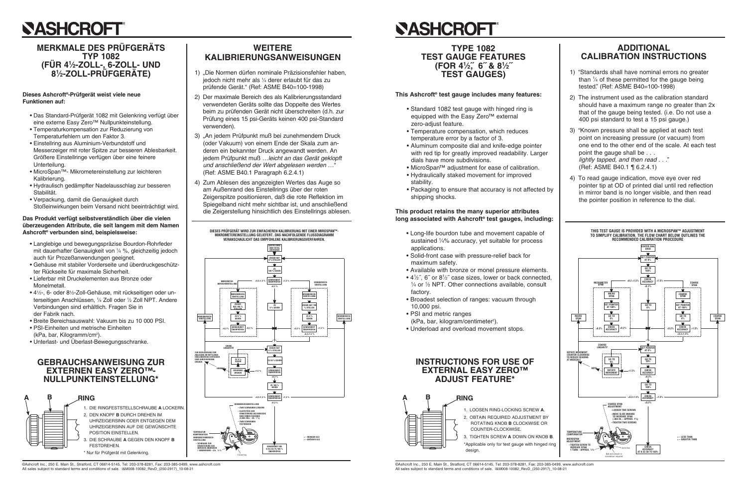# **SASHCROFT**

### **MERKMALE DES PRÜFGERÄTS TYP 1082** (FÜR 4½-ZOLL-, 6-ZOLL- UND<br>8½-ZOLL-PRÜFGERÄTE)

#### Dieses Ashcroft<sup>®</sup>-Prüfgerät weist viele neue **Funktionen auf:**

- · Das Standard-Prüfgerät 1082 mit Gelenkring verfügt über eine externe Easy Zero™ Nullpunkteinstellung.
- Temperaturkompensation zur Reduzierung von Temperaturfehlern um den Faktor 3.
- · Einstellring aus Aluminium-Verbundstoff und Messerzeiger mit roter Spitze zur besseren Ablesbarkeit. Größere Einstellringe verfügen über eine feinere Unterteilung.
- MicroSpan<sup>TM</sup>- Mikrometereinstellung zur leichteren Kalibrierung.
- · Hydraulisch gedämpfter Nadelausschlag zur besseren Stabilität.
- Verpackung, damit die Genaujgkeit durch Stoßeinwirkungen beim Versand nicht beeinträchtigt wird.

#### Das Produkt verfügt selbstverständlich über die vielen überzeugenden Attribute, die seit langem mit dem Namen Ashcroft<sup>®</sup> verbunden sind, beispielsweise:

- Langlebige und bewegungspräzise Bourdon-Rohrfeder mit dauerhafter Genauigkeit von 1/4 %, gleichzeitig jedoch auch für Prozeßanwendungen geeignet.
- · Gehäuse mit stabiler Vorderseite und überdruckgeschützter Rückseite für maximale Sicherheit.
- Lieferbar mit Druckelementen aus Bronze oder Monelmetall.
- 41/2-, 6- oder 81/2-Zoll-Gehäuse, mit rückseitigen oder unterseitigen Anschlüssen. 1/4 Zoll oder 1/2 Zoll NPT. Andere Verbindungen sind erhältlich. Fragen Sie in der Fabrik nach.
- . Breite Bereichsauswahl: Vakuum bis zu 10 000 PSL
- PSI-Einheiten und metrische Einheiten
- (kPa, bar, Kilogramm/cm<sup>2</sup>).
- · Unterlast- und Überlast-Bewegungsschranke.

### **GEBRAUCHSANWEISUNG ZUR EXTERNEN EASY ZEROTM-**NULLPUNKTEINSTELLUNG\*



**WEITERE KALIBRIERUNGSANWEISUNGEN** 

- 1) "Die Normen dürfen nominale Präzisionsfehler haben, jedoch nicht mehr als 1/4 derer erlaubt für das zu prüfende Gerät." (Ref: ASME B40=100-1998)
- 2) Der maximale Bereich des als Kalibrierungsstandard verwendeten Geräts sollte das Doppelte des Wertes beim zu prüfenden Gerät nicht überschreiten (d.h. zur Prüfung eines 15 psi-Geräts keinen 400 psi-Standard verwenden).
- 3) "An jedem Prüfpunkt muß bei zunehmendem Druck (oder Vakuum) von einem Ende der Skala zum anderen ein bekannter Druck angewandt werden. An jedem Prüfpunkt muß ... leicht an das Gerät geklopft und anschließend der Wert abgelesen werden ..." (Ref: ASME B40.1 Paragraph 6.2.4.1)
- 4) Zum Ablesen des angezeigten Wertes das Auge so am Außenrand des Einstellrings über der roten Zeigerspitze positionieren, daß die rote Reflektion im Spiegelband nicht mehr sichtbar ist, und anschließend die Zeigerstellung hinsichtlich des Einstellrings ablesen.



# **SASHCROFT**

### **TYPE 1082** (FOR 4<sup>1</sup>/<sub>2</sub>", 6" & 8<sup>1</sup>/<sub>2</sub>" **TEST GAUGES)**

### This Ashcroft<sup>®</sup> test gauge includes many features:

- equipped with the Easy Zero™ external zero-adjust feature.
- temperature error by a factor of 3.
- with red tip for greatly improved readability. Larger dials have more subdivisions.
- MicroSpan™ adjustment for ease of calibration.
- Hydraulically staked movement for improved stability.
- shipping shocks.

#### This product retains the many superior attributes long associated with Ashcroft<sup>®</sup> test gauges, including:

- Long-life bourdon tube and movement capable of sustained 1/4% accuracy, yet suitable for process applications.
- · Solid-front case with pressure-relief back for maximum safety.
- 
- $\frac{1}{4}$  or  $\frac{1}{2}$  NPT. Other connections available, consult factory.
- Broadest selection of ranges: vacuum through 10,000 psi.
- PSI and metric ranges
- 
- 

### **INSTRUCTIONS FOR USE OF EXTERNAL EASY ZERO™ ADJUST FEATURE\***



@Ashcroft Inc., 250 E. Main St., Stratford, CT 06614-5145, Tel: 203-378-8281, Fax: 203-385-0499, www.ashcroft.com All sales subject to standard terms and conditions of sale. I&M008-10082 RevD (250-2917) 10-08-21

©Ashcroft Inc., 250 E. Main St., Stratford, CT 06614-5145, Tel: 203-378-8281, Fax: 203-385-0499, www.ashcroft.com All sales subject to standard terms and conditions of sale. I&M008-10082 RevD (250-2917) 10-08-21